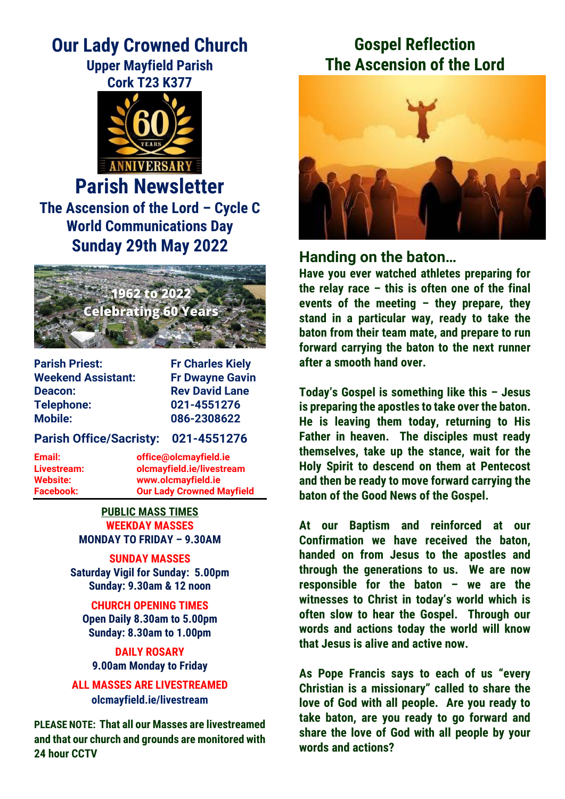# **Our Lady Crowned Church**

### **Upper Mayfield Parish Cork T23 K377**



**Parish Newsletter The Ascension of the Lord – Cycle C World Communications Day Sunday 29th May 2022**



| <b>Parish Priest:</b>     |
|---------------------------|
| <b>Weekend Assistant:</b> |
| Deacon:                   |
| <b>Telephone:</b>         |
| <b>Mobile:</b>            |

**Fr Charles Kiely Fr Dwayne Gavin Rev David Lane Telephone: 021-4551276 Mobile: 086-2308622**

#### **Parish Office/Sacristy: 021-4551276**

**Email: office@olcmayfield.ie Livestream: olcmayfield.ie/livestream Website: www.olcmayfield.ie Facebook: Our Lady Crowned Mayfield**

> **PUBLIC MASS TIMES WEEKDAY MASSES MONDAY TO FRIDAY – 9.30AM**

#### **SUNDAY MASSES Saturday Vigil for Sunday: 5.00pm Sunday: 9.30am & 12 noon**

**CHURCH OPENING TIMES Open Daily 8.30am to 5.00pm Sunday: 8.30am to 1.00pm**

**DAILY ROSARY 9.00am Monday to Friday**

**ALL MASSES ARE LIVESTREAMED olcmayfield.ie/livestream**

**PLEASE NOTE: That all our Masses are livestreamed and that our church and grounds are monitored with 24 hour CCTV** 

# **Gospel Reflection The Ascension of the Lord**



# **Handing on the baton…**

**Have you ever watched athletes preparing for the relay race – this is often one of the final events of the meeting – they prepare, they stand in a particular way, ready to take the baton from their team mate, and prepare to run forward carrying the baton to the next runner after a smooth hand over.**

**Today's Gospel is something like this – Jesus is preparing the apostles to take over the baton. He is leaving them today, returning to His Father in heaven. The disciples must ready themselves, take up the stance, wait for the Holy Spirit to descend on them at Pentecost and then be ready to move forward carrying the baton of the Good News of the Gospel.**

**At our Baptism and reinforced at our Confirmation we have received the baton, handed on from Jesus to the apostles and through the generations to us. We are now responsible for the baton – we are the witnesses to Christ in today's world which is often slow to hear the Gospel. Through our words and actions today the world will know that Jesus is alive and active now.** 

**As Pope Francis says to each of us "every Christian is a missionary" called to share the love of God with all people. Are you ready to take baton, are you ready to go forward and share the love of God with all people by your words and actions?**